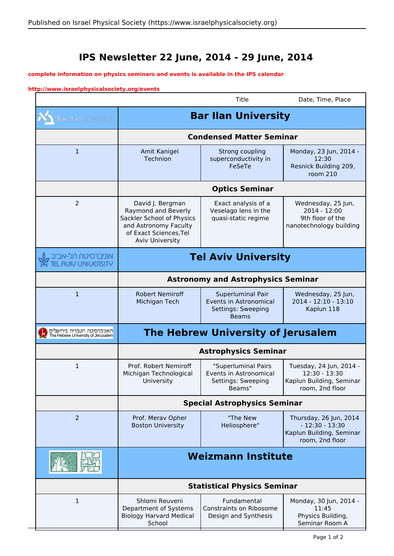## **IPS Newsletter 22 June, 2014 - 29 June, 2014**

## **complete information on physics seminars and events is available in the IPS calendar**

## **http://www.israelphysicalsociety.org/events**

 $\overline{\phantom{a}}$ 

|                                                                   |                                                                                                                                                   | Title                                                                             | Date, Time, Place                                                                         |
|-------------------------------------------------------------------|---------------------------------------------------------------------------------------------------------------------------------------------------|-----------------------------------------------------------------------------------|-------------------------------------------------------------------------------------------|
| <b>Bar-Ilan University</b>                                        | <b>Bar Ilan University</b>                                                                                                                        |                                                                                   |                                                                                           |
|                                                                   | <b>Condensed Matter Seminar</b>                                                                                                                   |                                                                                   |                                                                                           |
| $\mathbf{1}$                                                      | Amit Kanigel<br>Technion                                                                                                                          | Strong coupling<br>superconductivity in<br>FeSeTe                                 | Monday, 23 Jun, 2014 -<br>12:30<br>Resnick Building 209,<br>room 210                      |
|                                                                   | <b>Optics Seminar</b>                                                                                                                             |                                                                                   |                                                                                           |
| 2                                                                 | David J. Bergman<br>Raymond and Beverly<br>Sackler School of Physics<br>and Astronomy Faculty<br>of Exact Sciences, Tel<br><b>Aviv University</b> | Exact analysis of a<br>Veselago lens in the<br>quasi-static regime                | Wednesday, 25 Jun,<br>$2014 - 12:00$<br>9th floor of the<br>nanotechnology building       |
| אוניברסיטת תל-אביב<br><b>AUIU UNIUERSITY</b>                      | <b>Tel Aviv University</b>                                                                                                                        |                                                                                   |                                                                                           |
|                                                                   | <b>Astronomy and Astrophysics Seminar</b>                                                                                                         |                                                                                   |                                                                                           |
| $\mathbf{1}$                                                      | <b>Robert Nemiroff</b><br>Michigan Tech                                                                                                           | Superluminal Pair<br>Events in Astronomical<br>Settings: Sweeping<br><b>Beams</b> | Wednesday, 25 Jun,<br>2014 - 12:10 - 13:10<br>Kaplun 118                                  |
| האוניברסיטה העברית בירושלים<br>The Hebrew University of Jerusalem | <b>The Hebrew University of Jerusalem</b>                                                                                                         |                                                                                   |                                                                                           |
|                                                                   | <b>Astrophysics Seminar</b>                                                                                                                       |                                                                                   |                                                                                           |
| 1                                                                 | Prof. Robert Nemiroff<br>Michigan Technological<br>University                                                                                     | "Superluminal Pairs<br>Events in Astronomical<br>Settings: Sweeping<br>Beams"     | Tuesday, 24 Jun, 2014 -<br>12:30 - 13:30<br>Kaplun Building, Seminar<br>room, 2nd floor   |
|                                                                   | <b>Special Astrophysics Seminar</b>                                                                                                               |                                                                                   |                                                                                           |
| 2                                                                 | Prof. Merav Opher<br><b>Boston University</b>                                                                                                     | "The New<br>Heliosphere"                                                          | Thursday, 26 Jun, 2014<br>$-12:30 - 13:30$<br>Kaplun Building, Seminar<br>room, 2nd floor |
|                                                                   | <b>Weizmann Institute</b>                                                                                                                         |                                                                                   |                                                                                           |
|                                                                   | <b>Statistical Physics Seminar</b>                                                                                                                |                                                                                   |                                                                                           |
| 1                                                                 | Shlomi Reuveni<br>Department of Systems<br><b>Biology Harvard Medical</b><br>School                                                               | Fundamental<br>Constraints on Ribosome<br>Design and Synthesis                    | Monday, 30 Jun, 2014 -<br>11:45<br>Physics Building,<br>Seminar Room A                    |

E